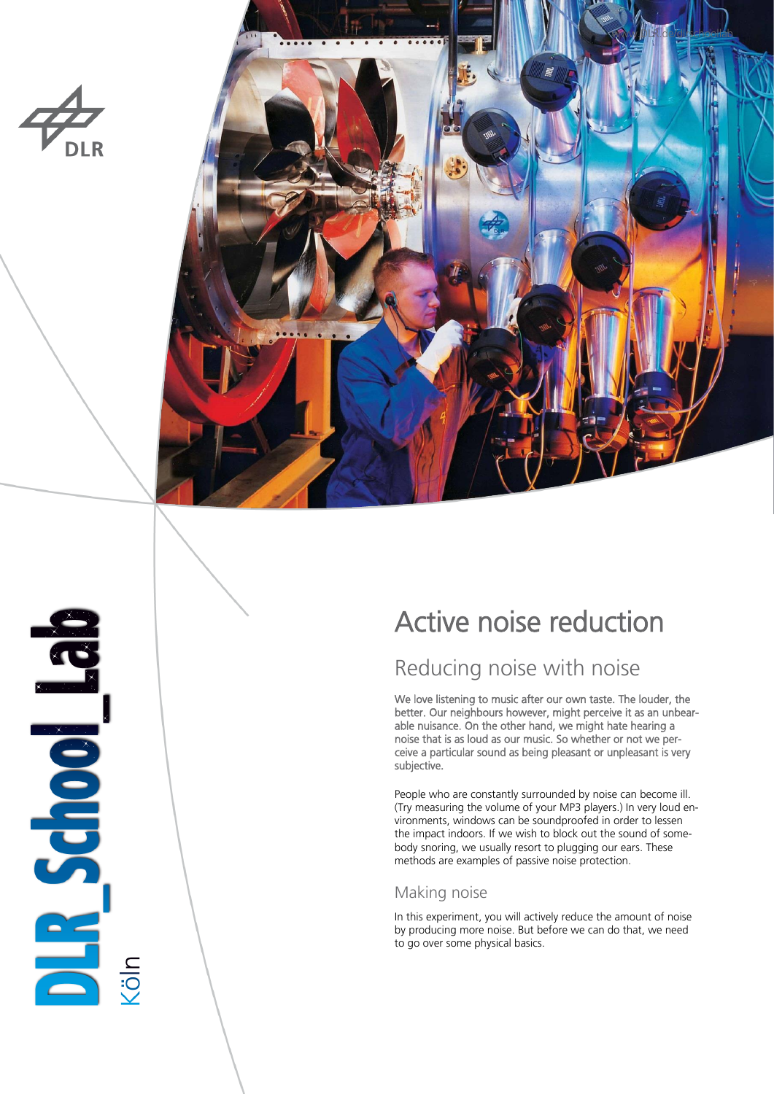



# Active noise reduction

## Reducing noise with noise

We love listening to music after our own taste. The louder, the better. Our neighbours however, might perceive it as an unbearable nuisance. On the other hand, we might hate hearing a noise that is as loud as our music. So whether or not we perceive a particular sound as being pleasant or unpleasant is very subjective.

People who are constantly surrounded by noise can become ill. (Try measuring the volume of your MP3 players.) In very loud environments, windows can be soundproofed in order to lessen the impact indoors. If we wish to block out the sound of somebody snoring, we usually resort to plugging our ears. These methods are examples of passive noise protection.

### Making noise

In this experiment, you will actively reduce the amount of noise by producing more noise. But before we can do that, we need to go over some physical basics.

**BALL School Bad**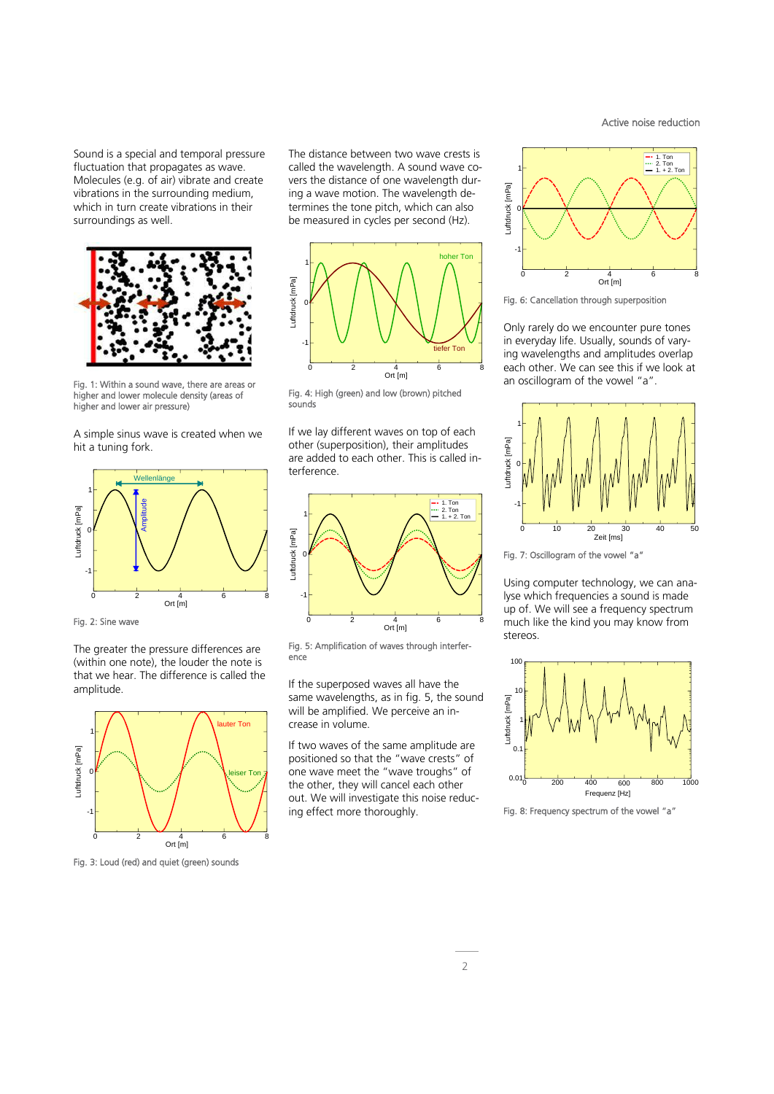Sound is a special and temporal pressure fluctuation that propagates as wave. Molecules (e.g. of air) vibrate and create vibrations in the surrounding medium, which in turn create vibrations in their surroundings as well.



Fig. 1: Within a sound wave, there are areas or higher and lower molecule density (areas of higher and lower air pressure)

A simple sinus wave is created when we hit a tuning fork.



Fig. 2: Sine wave

The greater the pressure differences are (within one note), the louder the note is that we hear. The difference is called the amplitude.



Fig. 3: Loud (red) and quiet (green) sounds

The distance between two wave crests is called the wavelength. A sound wave covers the distance of one wavelength during a wave motion. The wavelength determines the tone pitch, which can also be measured in cycles per second (Hz).



Fig. 4: High (green) and low (brown) pitched sounds

If we lay different waves on top of each other (superposition), their amplitudes are added to each other. This is called interference.



Fig. 5: Amplification of waves through interference

If the superposed waves all have the same wavelengths, as in fig. 5, the sound will be amplified. We perceive an increase in volume.

If two waves of the same amplitude are positioned so that the "wave crests" of one wave meet the "wave troughs" of the other, they will cancel each other out. We will investigate this noise reducing effect more thoroughly.



Active noise reduction

Fig. 6: Cancellation through superposition

Only rarely do we encounter pure tones in everyday life. Usually, sounds of varying wavelengths and amplitudes overlap each other. We can see this if we look at an oscillogram of the vowel "a".



Fig. 7: Oscillogram of the vowel "a"

Using computer technology, we can analyse which frequencies a sound is made up of. We will see a frequency spectrum much like the kind you may know from stereos.



Fig. 8: Frequency spectrum of the vowel "a"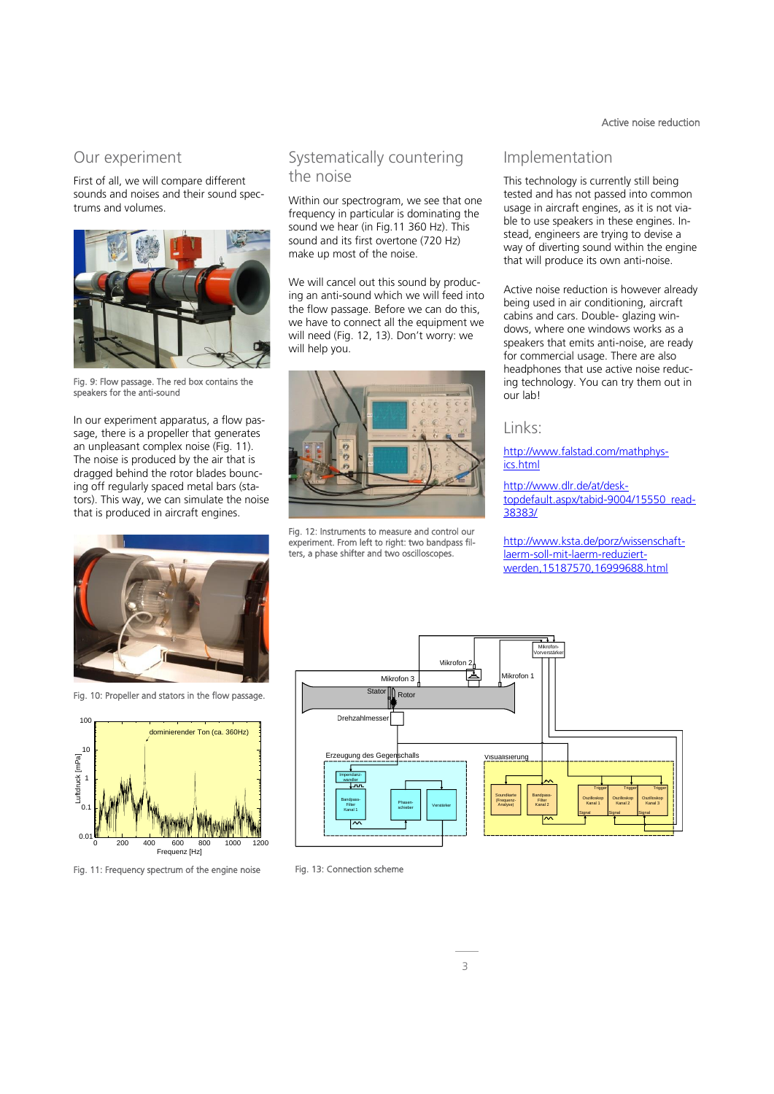#### Active noise reduction

#### Our experiment

First of all, we will compare different sounds and noises and their sound spectrums and volumes.



Fig. 9: Flow passage. The red box contains the speakers for the anti-sound

In our experiment apparatus, a flow passage, there is a propeller that generates an unpleasant complex noise (Fig. 11). The noise is produced by the air that is dragged behind the rotor blades bouncing off regularly spaced metal bars (stators). This way, we can simulate the noise that is produced in aircraft engines.



Fig. 10: Propeller and stators in the flow passage.



Fig. 11: Frequency spectrum of the engine noise

#### Systematically countering the noise

Within our spectrogram, we see that one frequency in particular is dominating the sound we hear (in Fig.11 360 Hz). This sound and its first overtone (720 Hz) make up most of the noise.

We will cancel out this sound by producing an anti-sound which we will feed into the flow passage. Before we can do this, we have to connect all the equipment we will need (Fig. 12, 13). Don't worry: we will help you.



Fig. 12: Instruments to measure and control our experiment. From left to right: two bandpass filters, a phase shifter and two oscilloscopes.

#### Implementation

This technology is currently still being tested and has not passed into common usage in aircraft engines, as it is not viable to use speakers in these engines. Instead, engineers are trying to devise a way of diverting sound within the engine that will produce its own anti-noise.

Active noise reduction is however already being used in air conditioning, aircraft cabins and cars. Double- glazing windows, where one windows works as a speakers that emits anti-noise, are ready for commercial usage. There are also headphones that use active noise reducing technology. You can try them out in our lab!

#### Links:

[http://www.falstad.com/mathphys](http://www.falstad.com/mathphysics.html)[ics.html](http://www.falstad.com/mathphysics.html)

[http://www.dlr.de/at/desk](http://www.dlr.de/at/desktopdefault.aspx/tabid-9004/15550_read-38383/)[topdefault.aspx/tabid-9004/15550\\_read-](http://www.dlr.de/at/desktopdefault.aspx/tabid-9004/15550_read-38383/)[38383/](http://www.dlr.de/at/desktopdefault.aspx/tabid-9004/15550_read-38383/)

[http://www.ksta.de/porz/wissenschaft](http://www.ksta.de/porz/wissenschaft-laerm-soll-mit-laerm-reduziert-werden,15187570,16999688.html)[laerm-soll-mit-laerm-reduziert](http://www.ksta.de/porz/wissenschaft-laerm-soll-mit-laerm-reduziert-werden,15187570,16999688.html)[werden,15187570,16999688.html](http://www.ksta.de/porz/wissenschaft-laerm-soll-mit-laerm-reduziert-werden,15187570,16999688.html)



Fig. 13: Connection scheme